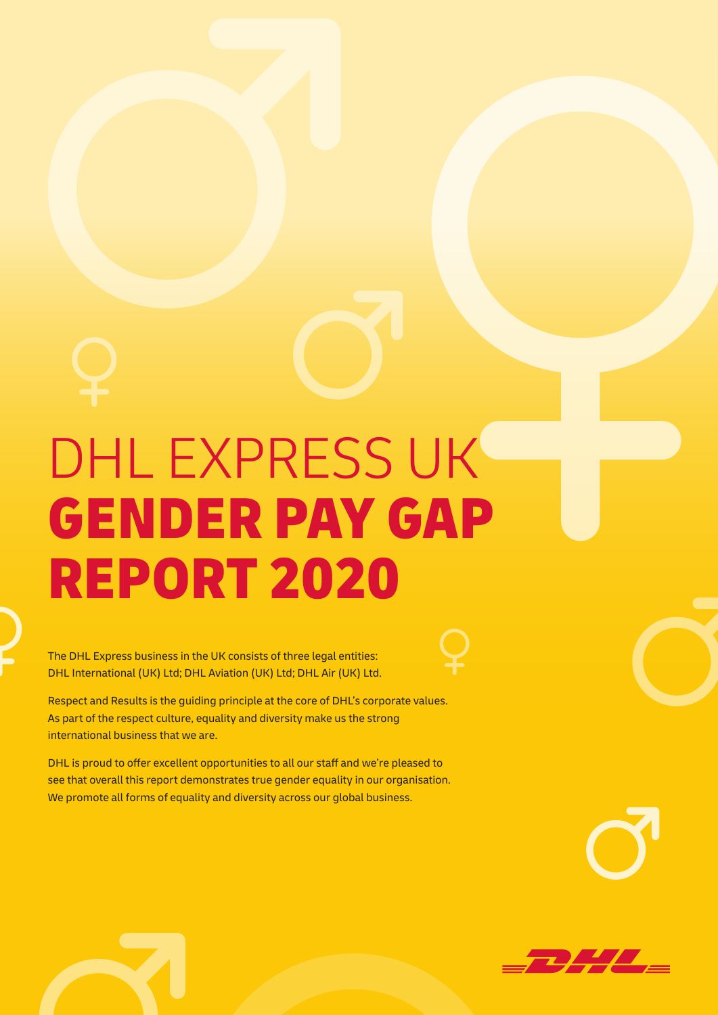# DHL EXPRESS UK GENDER PAY GAP REPORT 2020

The DHL Express business in the UK consists of three legal entities: DHL International (UK) Ltd; DHL Aviation (UK) Ltd; DHL Air (UK) Ltd.

Respect and Results is the guiding principle at the core of DHL's corporate values. As part of the respect culture, equality and diversity make us the strong international business that we are.

DHL is proud to offer excellent opportunities to all our staff and we're pleased to see that overall this report demonstrates true gender equality in our organisation. We promote all forms of equality and diversity across our global business.

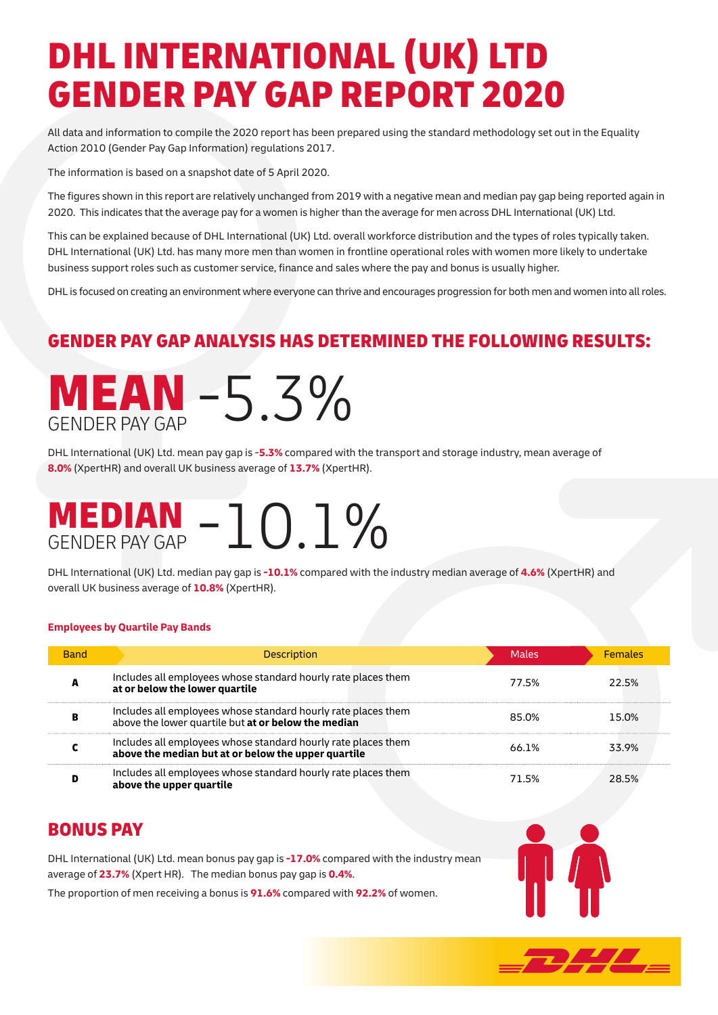## DHL INTERNATIONAL (UK) LTD GENDER PAY GAP REPORT 2020

All data and information to compile the 2020 report has been prepared using the standard methodology set out in the Equality Action 2010 (Gender Pay Gap Information) regulations 2017.

The information is based on a snapshot date of 5 April 2020.

The figures shown in this report are relatively unchanged from 2019 with a negative mean and median pay gap being reported again in 2020. This indicates that the average pay for a women is higher than the average for men across DHL International (UK) Ltd.

This can be explained because of DHL International (UK) Ltd. overall workforce distribution and the types of roles typically taken. DHL International (UK) Ltd. has many more men than women in frontline operational roles with women more likely to undertake business support roles such as customer service, finance and sales where the pay and bonus is usually higher.

DHL is focused on creating an environment where everyone can thrive and encourages progression for both men and women into all roles.

### GENDER PAY GAP ANALYSIS HAS DETERMINED THE FOLLOWING RESULTS:



DHL International (UK) Ltd. mean pay gap is -**5.3%** compared with the transport and storage industry, mean average of **8.0%** (XpertHR) and overall UK business average of **13.7%** (XpertHR).

## **MEDIAN** GENDER PAY GAP -10.1%

DHL International (UK) Ltd. median pay gap is **-10.1%** compared with the industry median average of **4.6%** (XpertHR) and overall UK business average of **10.8%** (XpertHR).

#### **Employees by Quartile Pay Bands**

| <b>Band</b> | <b>Description</b>                                                                                                   | <b>Males</b> | <b>Females</b> |
|-------------|----------------------------------------------------------------------------------------------------------------------|--------------|----------------|
|             | Includes all employees whose standard hourly rate places them<br>at or below the lower quartile                      | 77.5%        | 22.5%          |
|             | Includes all employees whose standard hourly rate places them<br>above the lower quartile but at or below the median | 85.0%        | 15.0%          |
|             | Includes all employees whose standard hourly rate places them<br>above the median but at or below the upper quartile | 66.1%        | 33.9%          |
|             | Includes all employees whose standard hourly rate places them<br>above the upper quartile                            | 71 5%        | 28.5%          |

### BONUS PAY

DHL International (UK) Ltd. mean bonus pay gap is **-17.0%** compared with the industry mean average of **23.7%** (Xpert HR). The median bonus pay gap is **0.4%**.

The proportion of men receiving a bonus is **91.6%** compared with **92.2%** of women.



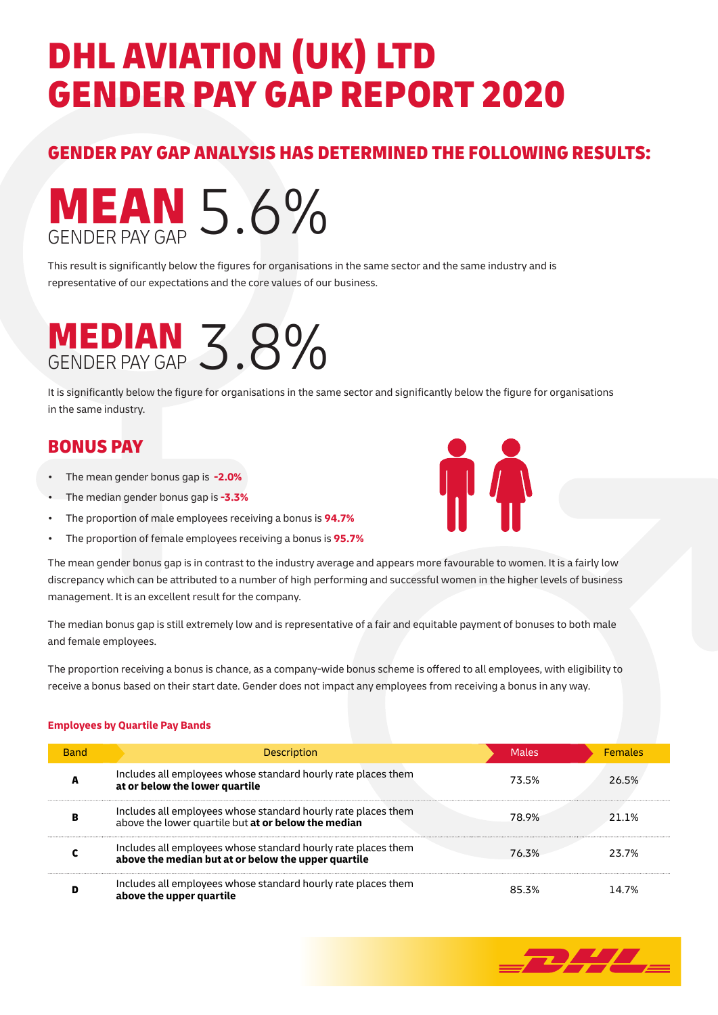## DHL AVIATION (UK) LTD GENDER PAY GAP REPORT 2020

### GENDER PAY GAP ANALYSIS HAS DETERMINED THE FOLLOWING RESULTS:



This result is significantly below the figures for organisations in the same sector and the same industry and is representative of our expectations and the core values of our business.

## **MEDIAN** GENDER PAY GAP 3.8%

It is significantly below the figure for organisations in the same sector and significantly below the figure for organisations in the same industry.

### BONUS PAY

- The mean gender bonus gap is **-2.0%**
- The median gender bonus gap is **-3.3%**
- The proportion of male employees receiving a bonus is **94.7%**
- The proportion of female employees receiving a bonus is **95.7%**



The mean gender bonus gap is in contrast to the industry average and appears more favourable to women. It is a fairly low discrepancy which can be attributed to a number of high performing and successful women in the higher levels of business management. It is an excellent result for the company.

The median bonus gap is still extremely low and is representative of a fair and equitable payment of bonuses to both male and female employees.

The proportion receiving a bonus is chance, as a company-wide bonus scheme is offered to all employees, with eligibility to receive a bonus based on their start date. Gender does not impact any employees from receiving a bonus in any way.

#### **Employees by Quartile Pay Bands**

| <b>Band</b> | <b>Description</b>                                                                                                            | <b>Males</b> | <b>Females</b> |  |
|-------------|-------------------------------------------------------------------------------------------------------------------------------|--------------|----------------|--|
| А           | Includes all employees whose standard hourly rate places them<br>at or below the lower quartile                               | 73.5%        | 26.5%          |  |
|             | Includes all employees whose standard hourly rate places them<br>78.9%<br>above the lower quartile but at or below the median |              |                |  |
|             | Includes all employees whose standard hourly rate places them<br>above the median but at or below the upper quartile          | 76.3%        | 23.7%          |  |
| D           | Includes all employees whose standard hourly rate places them<br>above the upper quartile                                     | 853%         | I 4 7%         |  |

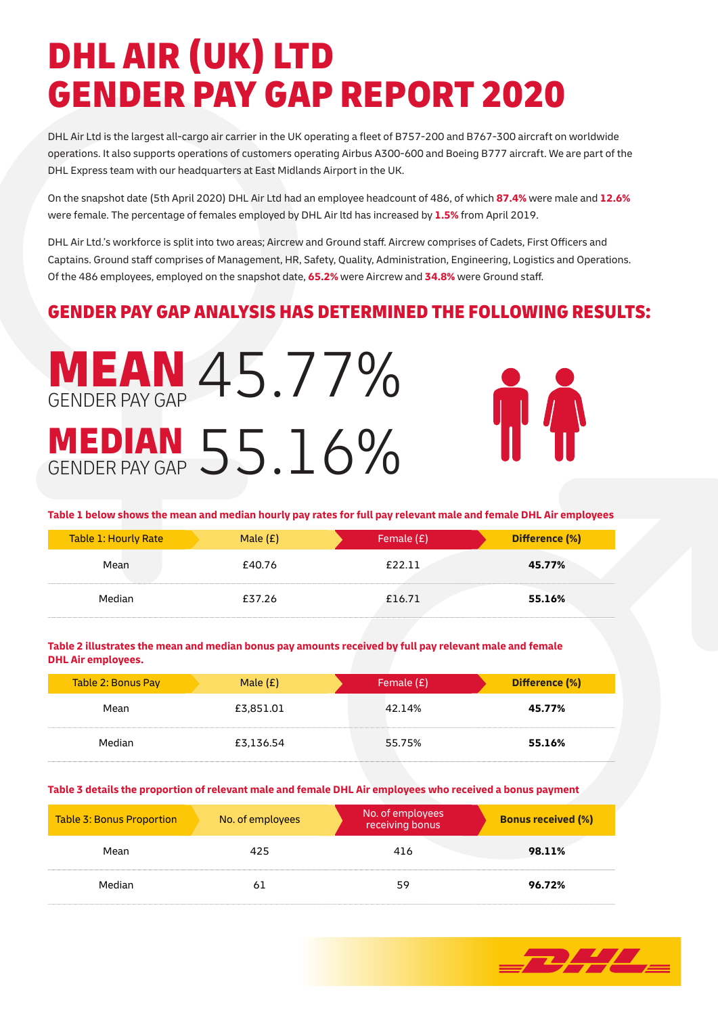## DHL AIR (UK) LTD GENDER PAY GAP REPORT 2020

DHL Air Ltd is the largest all-cargo air carrier in the UK operating a fleet of B757-200 and B767-300 aircraft on worldwide operations. It also supports operations of customers operating Airbus A300-600 and Boeing B777 aircraft. We are part of the DHL Express team with our headquarters at East Midlands Airport in the UK.

On the snapshot date (5th April 2020) DHL Air Ltd had an employee headcount of 486, of which **87.4%** were male and **12.6%** were female. The percentage of females employed by DHL Air ltd has increased by **1.5%** from April 2019.

DHL Air Ltd.'s workforce is split into two areas; Aircrew and Ground staff. Aircrew comprises of Cadets, First Officers and Captains. Ground staff comprises of Management, HR, Safety, Quality, Administration, Engineering, Logistics and Operations. Of the 486 employees, employed on the snapshot date, **65.2%** were Aircrew and **34.8%** were Ground staff.

### GENDER PAY GAP ANALYSIS HAS DETERMINED THE FOLLOWING RESULTS:

**MEAN 45.77%** GENDER PAY GAP **MEDIAN** GENDER PAY GAP 55.16%



**Table 1 below shows the mean and median hourly pay rates for full pay relevant male and female DHL Air employees**

| Table 1: Hourly Rate | Male $(E)$ | Female $(E)$ | Difference (%) |
|----------------------|------------|--------------|----------------|
| Mean                 | £40.76     | £22.11       | 45.77%         |
| Median               | £37.26     | £16.71       | 55.16%         |

#### **Table 2 illustrates the mean and median bonus pay amounts received by full pay relevant male and female DHL Air employees.**

| Table 2: Bonus Pay | Male $(E)$ | Female $(E)$ | Difference (%) |
|--------------------|------------|--------------|----------------|
| Mean               | £3,851.01  | 42.14%       | 45.77%         |
| Median             | £3,136.54  | 55.75%       | 55.16%         |

#### **Table 3 details the proportion of relevant male and female DHL Air employees who received a bonus payment**

| Table 3: Bonus Proportion | No. of employees | No. of employees<br>receiving bonus | <b>Bonus received (%)</b> |
|---------------------------|------------------|-------------------------------------|---------------------------|
| Mean                      | 425              | 416                                 | 98.11%                    |
| Median                    |                  | 59                                  | 96.72%                    |